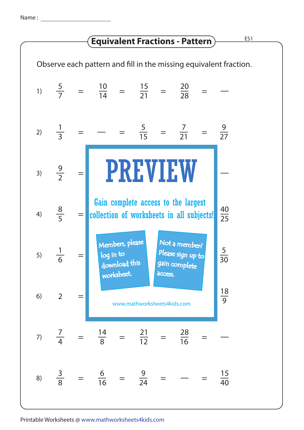